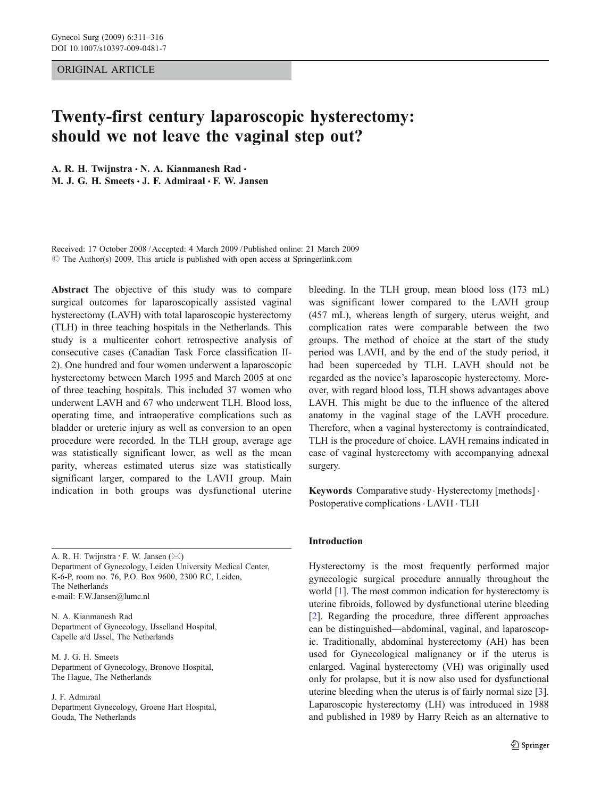## ORIGINAL ARTICLE

# Twenty-first century laparoscopic hysterectomy: should we not leave the vaginal step out?

A. R. H. Twijnstra · N. A. Kianmanesh Rad · M. J. G. H. Smeets  $\cdot$  J. F. Admiraal  $\cdot$  F. W. Jansen

Received: 17 October 2008 /Accepted: 4 March 2009 / Published online: 21 March 2009  $\circ$  The Author(s) 2009. This article is published with open access at Springerlink.com

Abstract The objective of this study was to compare surgical outcomes for laparoscopically assisted vaginal hysterectomy (LAVH) with total laparoscopic hysterectomy (TLH) in three teaching hospitals in the Netherlands. This study is a multicenter cohort retrospective analysis of consecutive cases (Canadian Task Force classification II-2). One hundred and four women underwent a laparoscopic hysterectomy between March 1995 and March 2005 at one of three teaching hospitals. This included 37 women who underwent LAVH and 67 who underwent TLH. Blood loss, operating time, and intraoperative complications such as bladder or ureteric injury as well as conversion to an open procedure were recorded. In the TLH group, average age was statistically significant lower, as well as the mean parity, whereas estimated uterus size was statistically significant larger, compared to the LAVH group. Main indication in both groups was dysfunctional uterine

A. R. H. Twijnstra *:* F. W. Jansen (*\**) Department of Gynecology, Leiden University Medical Center, K-6-P, room no. 76, P.O. Box 9600, 2300 RC, Leiden, The Netherlands e-mail: F.W.Jansen@lumc.nl

N. A. Kianmanesh Rad Department of Gynecology, IJsselland Hospital, Capelle a/d IJssel, The Netherlands

M. J. G. H. Smeets Department of Gynecology, Bronovo Hospital, The Hague, The Netherlands

J. F. Admiraal Department Gynecology, Groene Hart Hospital, Gouda, The Netherlands

bleeding. In the TLH group, mean blood loss (173 mL) was significant lower compared to the LAVH group (457 mL), whereas length of surgery, uterus weight, and complication rates were comparable between the two groups. The method of choice at the start of the study period was LAVH, and by the end of the study period, it had been superceded by TLH. LAVH should not be regarded as the novice's laparoscopic hysterectomy. Moreover, with regard blood loss, TLH shows advantages above LAVH. This might be due to the influence of the altered anatomy in the vaginal stage of the LAVH procedure. Therefore, when a vaginal hysterectomy is contraindicated, TLH is the procedure of choice. LAVH remains indicated in case of vaginal hysterectomy with accompanying adnexal surgery.

Keywords Comparative study · Hysterectomy [methods] · Postoperative complications. LAVH . TLH

### Introduction

Hysterectomy is the most frequently performed major gynecologic surgical procedure annually throughout the world [\[1](#page-5-0)]. The most common indication for hysterectomy is uterine fibroids, followed by dysfunctional uterine bleeding [\[2](#page-5-0)]. Regarding the procedure, three different approaches can be distinguished—abdominal, vaginal, and laparoscopic. Traditionally, abdominal hysterectomy (AH) has been used for Gynecological malignancy or if the uterus is enlarged. Vaginal hysterectomy (VH) was originally used only for prolapse, but it is now also used for dysfunctional uterine bleeding when the uterus is of fairly normal size [[3\]](#page-5-0). Laparoscopic hysterectomy (LH) was introduced in 1988 and published in 1989 by Harry Reich as an alternative to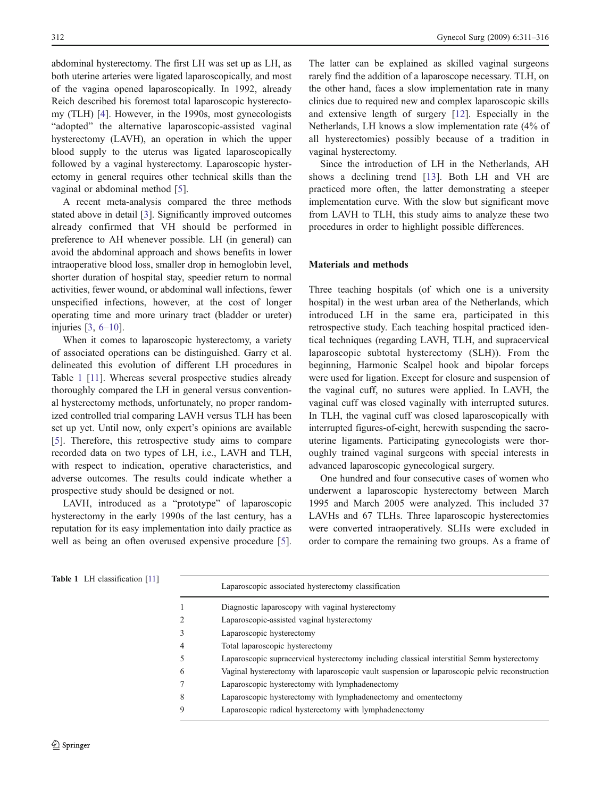<span id="page-1-0"></span>abdominal hysterectomy. The first LH was set up as LH, as both uterine arteries were ligated laparoscopically, and most of the vagina opened laparoscopically. In 1992, already Reich described his foremost total laparoscopic hysterectomy (TLH) [\[4](#page-5-0)]. However, in the 1990s, most gynecologists "adopted" the alternative laparoscopic-assisted vaginal hysterectomy (LAVH), an operation in which the upper blood supply to the uterus was ligated laparoscopically followed by a vaginal hysterectomy. Laparoscopic hysterectomy in general requires other technical skills than the vaginal or abdominal method [\[5](#page-5-0)].

A recent meta-analysis compared the three methods stated above in detail [[3\]](#page-5-0). Significantly improved outcomes already confirmed that VH should be performed in preference to AH whenever possible. LH (in general) can avoid the abdominal approach and shows benefits in lower intraoperative blood loss, smaller drop in hemoglobin level, shorter duration of hospital stay, speedier return to normal activities, fewer wound, or abdominal wall infections, fewer unspecified infections, however, at the cost of longer operating time and more urinary tract (bladder or ureter) injuries [\[3](#page-5-0), [6](#page-5-0)–[10\]](#page-5-0).

When it comes to laparoscopic hysterectomy, a variety of associated operations can be distinguished. Garry et al. delineated this evolution of different LH procedures in Table 1 [\[11\]](#page-5-0). Whereas several prospective studies already thoroughly compared the LH in general versus conventional hysterectomy methods, unfortunately, no proper randomized controlled trial comparing LAVH versus TLH has been set up yet. Until now, only expert's opinions are available [\[5](#page-5-0)]. Therefore, this retrospective study aims to compare recorded data on two types of LH, i.e., LAVH and TLH, with respect to indication, operative characteristics, and adverse outcomes. The results could indicate whether a prospective study should be designed or not.

LAVH, introduced as a "prototype" of laparoscopic hysterectomy in the early 1990s of the last century, has a reputation for its easy implementation into daily practice as well as being an often overused expensive procedure [\[5](#page-5-0)].

The latter can be explained as skilled vaginal surgeons rarely find the addition of a laparoscope necessary. TLH, on the other hand, faces a slow implementation rate in many clinics due to required new and complex laparoscopic skills and extensive length of surgery [\[12](#page-5-0)]. Especially in the Netherlands, LH knows a slow implementation rate (4% of all hysterectomies) possibly because of a tradition in vaginal hysterectomy.

Since the introduction of LH in the Netherlands, AH shows a declining trend [\[13\]](#page-5-0). Both LH and VH are practiced more often, the latter demonstrating a steeper implementation curve. With the slow but significant move from LAVH to TLH, this study aims to analyze these two procedures in order to highlight possible differences.

## Materials and methods

Three teaching hospitals (of which one is a university hospital) in the west urban area of the Netherlands, which introduced LH in the same era, participated in this retrospective study. Each teaching hospital practiced identical techniques (regarding LAVH, TLH, and supracervical laparoscopic subtotal hysterectomy (SLH)). From the beginning, Harmonic Scalpel hook and bipolar forceps were used for ligation. Except for closure and suspension of the vaginal cuff, no sutures were applied. In LAVH, the vaginal cuff was closed vaginally with interrupted sutures. In TLH, the vaginal cuff was closed laparoscopically with interrupted figures-of-eight, herewith suspending the sacrouterine ligaments. Participating gynecologists were thoroughly trained vaginal surgeons with special interests in advanced laparoscopic gynecological surgery.

One hundred and four consecutive cases of women who underwent a laparoscopic hysterectomy between March 1995 and March 2005 were analyzed. This included 37 LAVHs and 67 TLHs. Three laparoscopic hysterectomies were converted intraoperatively. SLHs were excluded in order to compare the remaining two groups. As a frame of

| $\sim$ 1 LH Chassingation $\sim$ 1 |   | Laparoscopic associated hysterectomy classification                                           |
|------------------------------------|---|-----------------------------------------------------------------------------------------------|
|                                    |   | Diagnostic laparoscopy with vaginal hysterectomy                                              |
|                                    | 2 | Laparoscopic-assisted vaginal hysterectomy                                                    |
|                                    | 3 | Laparoscopic hysterectomy                                                                     |
|                                    | 4 | Total laparoscopic hysterectomy                                                               |
|                                    |   | Laparoscopic supracervical hysterectomy including classical interstitial Semm hysterectomy    |
|                                    | 6 | Vaginal hysterectomy with laparoscopic vault suspension or laparoscopic pelvic reconstruction |
|                                    |   | Laparoscopic hysterectomy with lymphadenectomy                                                |
|                                    | 8 | Laparoscopic hysterectomy with lymphadenectomy and omentectomy                                |
|                                    | 9 | Laparoscopic radical hysterectomy with lymphadenectomy                                        |
|                                    |   |                                                                                               |

Table 1 LH classification [[11\]](#page-5-0)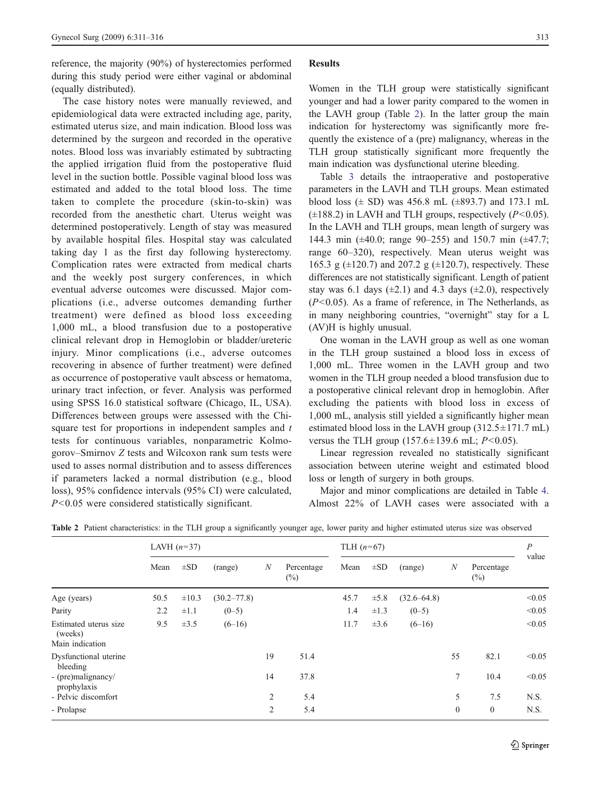reference, the majority (90%) of hysterectomies performed during this study period were either vaginal or abdominal (equally distributed).

The case history notes were manually reviewed, and epidemiological data were extracted including age, parity, estimated uterus size, and main indication. Blood loss was determined by the surgeon and recorded in the operative notes. Blood loss was invariably estimated by subtracting the applied irrigation fluid from the postoperative fluid level in the suction bottle. Possible vaginal blood loss was estimated and added to the total blood loss. The time taken to complete the procedure (skin-to-skin) was recorded from the anesthetic chart. Uterus weight was determined postoperatively. Length of stay was measured by available hospital files. Hospital stay was calculated taking day 1 as the first day following hysterectomy. Complication rates were extracted from medical charts and the weekly post surgery conferences, in which eventual adverse outcomes were discussed. Major complications (i.e., adverse outcomes demanding further treatment) were defined as blood loss exceeding 1,000 mL, a blood transfusion due to a postoperative clinical relevant drop in Hemoglobin or bladder/ureteric injury. Minor complications (i.e., adverse outcomes recovering in absence of further treatment) were defined as occurrence of postoperative vault abscess or hematoma, urinary tract infection, or fever. Analysis was performed using SPSS 16.0 statistical software (Chicago, IL, USA). Differences between groups were assessed with the Chisquare test for proportions in independent samples and  $t$ tests for continuous variables, nonparametric Kolmogorov–Smirnov Z tests and Wilcoxon rank sum tests were used to asses normal distribution and to assess differences if parameters lacked a normal distribution (e.g., blood loss), 95% confidence intervals (95% CI) were calculated, P<0.05 were considered statistically significant.

### Results

Women in the TLH group were statistically significant younger and had a lower parity compared to the women in the LAVH group (Table 2). In the latter group the main indication for hysterectomy was significantly more frequently the existence of a (pre) malignancy, whereas in the TLH group statistically significant more frequently the main indication was dysfunctional uterine bleeding.

Table [3](#page-3-0) details the intraoperative and postoperative parameters in the LAVH and TLH groups. Mean estimated blood loss ( $\pm$  SD) was 456.8 mL ( $\pm$ 893.7) and 173.1 mL  $(\pm 188.2)$  in LAVH and TLH groups, respectively (P<0.05). In the LAVH and TLH groups, mean length of surgery was 144.3 min (±40.0; range 90–255) and 150.7 min (±47.7; range 60–320), respectively. Mean uterus weight was 165.3 g  $(\pm 120.7)$  and 207.2 g  $(\pm 120.7)$ , respectively. These differences are not statistically significant. Length of patient stay was 6.1 days  $(\pm 2.1)$  and 4.3 days  $(\pm 2.0)$ , respectively  $(P<0.05)$ . As a frame of reference, in The Netherlands, as in many neighboring countries, "overnight" stay for a L (AV)H is highly unusual.

One woman in the LAVH group as well as one woman in the TLH group sustained a blood loss in excess of 1,000 mL. Three women in the LAVH group and two women in the TLH group needed a blood transfusion due to a postoperative clinical relevant drop in hemoglobin. After excluding the patients with blood loss in excess of 1,000 mL, analysis still yielded a significantly higher mean estimated blood loss in the LAVH group  $(312.5 \pm 171.7 \text{ mL})$ versus the TLH group  $(157.6 \pm 139.6 \text{ mL}; P < 0.05)$ .

Linear regression revealed no statistically significant association between uterine weight and estimated blood loss or length of surgery in both groups.

Major and minor complications are detailed in Table [4.](#page-3-0) Almost 22% of LAVH cases were associated with a

|                                                     | LAVH $(n=37)$ |            |                 |                  | TLH $(n=67)$         |      |           |                 |                  | $\boldsymbol{P}$     |        |
|-----------------------------------------------------|---------------|------------|-----------------|------------------|----------------------|------|-----------|-----------------|------------------|----------------------|--------|
|                                                     | Mean          | $\pm SD$   | (range)         | $\boldsymbol{N}$ | Percentage<br>$(\%)$ | Mean | $\pm SD$  | (range)         | $\boldsymbol{N}$ | Percentage<br>$(\%)$ | value  |
| Age (years)                                         | 50.5          | $\pm 10.3$ | $(30.2 - 77.8)$ |                  |                      | 45.7 | $\pm 5.8$ | $(32.6 - 64.8)$ |                  |                      | < 0.05 |
| Parity                                              | 2.2           | $\pm 1.1$  | $(0-5)$         |                  |                      | 1.4  | $\pm 1.3$ | $(0-5)$         |                  |                      | < 0.05 |
| Estimated uterus size<br>(weeks)<br>Main indication | 9.5           | $\pm 3.5$  | $(6-16)$        |                  |                      | 11.7 | $\pm 3.6$ | $(6-16)$        |                  |                      | < 0.05 |
| Dysfunctional uterine<br>bleeding                   |               |            |                 | 19               | 51.4                 |      |           |                 | 55               | 82.1                 | < 0.05 |
| - (pre)malignancy/<br>prophylaxis                   |               |            |                 | 14               | 37.8                 |      |           |                 | $\tau$           | 10.4                 | < 0.05 |
| - Pelvic discomfort                                 |               |            |                 | 2                | 5.4                  |      |           |                 | 5                | 7.5                  | N.S.   |
| - Prolapse                                          |               |            |                 | 2                | 5.4                  |      |           |                 | $\mathbf{0}$     | $\boldsymbol{0}$     | N.S.   |

Table 2 Patient characteristics: in the TLH group a significantly younger age, lower parity and higher estimated uterus size was observed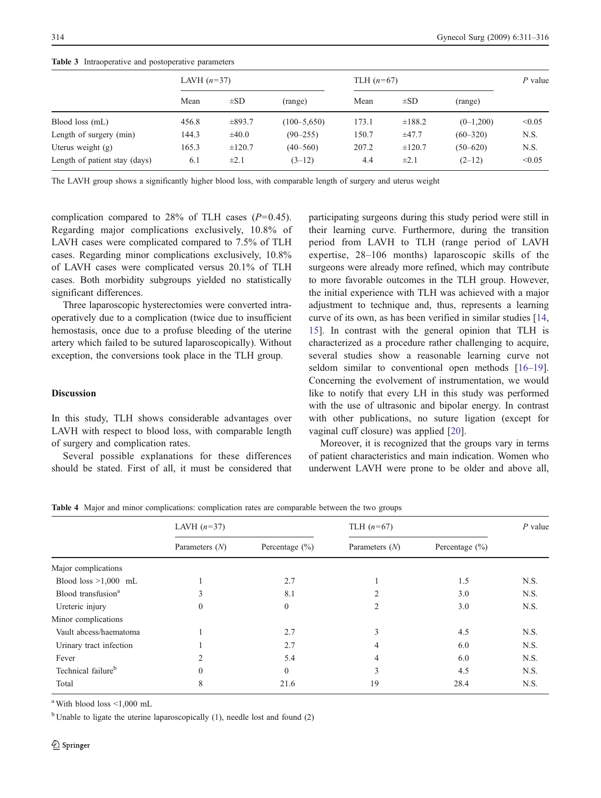<span id="page-3-0"></span>314 Gynecol Surg (2009) 6:311–316

| <b>Table 5</b> Intraoperative and postoperative parameters |               |             |                  |              |             |              |        |  |  |  |
|------------------------------------------------------------|---------------|-------------|------------------|--------------|-------------|--------------|--------|--|--|--|
|                                                            | LAVH $(n=37)$ |             |                  | TLH $(n=67)$ | $P$ value   |              |        |  |  |  |
|                                                            | Mean          | $\pm SD$    | (range)          | Mean         | $\pm SD$    | (range)      |        |  |  |  |
| Blood loss (mL)                                            | 456.8         | $\pm 893.7$ | $(100 - 5, 650)$ | 173.1        | ±188.2      | $(0-1,200)$  | < 0.05 |  |  |  |
| Length of surgery (min)                                    | 144.3         | $\pm 40.0$  | $(90 - 255)$     | 150.7        | $\pm 47.7$  | $(60 - 320)$ | N.S.   |  |  |  |
| Uterus weight $(g)$                                        | 165.3         | $\pm 120.7$ | $(40 - 560)$     | 207.2        | $\pm 120.7$ | $(50 - 620)$ | N.S.   |  |  |  |
| Length of patient stay (days)                              | 6.1           | $\pm 2.1$   | $(3-12)$         | 4.4          | $\pm 2.1$   | $(2-12)$     | < 0.05 |  |  |  |

Table 3 Intraoperative and postoperative parameters

The LAVH group shows a significantly higher blood loss, with comparable length of surgery and uterus weight

complication compared to 28% of TLH cases  $(P=0.45)$ . Regarding major complications exclusively, 10.8% of LAVH cases were complicated compared to 7.5% of TLH cases. Regarding minor complications exclusively, 10.8% of LAVH cases were complicated versus 20.1% of TLH cases. Both morbidity subgroups yielded no statistically significant differences.

Three laparoscopic hysterectomies were converted intraoperatively due to a complication (twice due to insufficient hemostasis, once due to a profuse bleeding of the uterine artery which failed to be sutured laparoscopically). Without exception, the conversions took place in the TLH group.

### **Discussion**

In this study, TLH shows considerable advantages over LAVH with respect to blood loss, with comparable length of surgery and complication rates.

Several possible explanations for these differences should be stated. First of all, it must be considered that participating surgeons during this study period were still in their learning curve. Furthermore, during the transition period from LAVH to TLH (range period of LAVH expertise, 28–106 months) laparoscopic skills of the surgeons were already more refined, which may contribute to more favorable outcomes in the TLH group. However, the initial experience with TLH was achieved with a major adjustment to technique and, thus, represents a learning curve of its own, as has been verified in similar studies [[14,](#page-5-0) [15](#page-5-0)]. In contrast with the general opinion that TLH is characterized as a procedure rather challenging to acquire, several studies show a reasonable learning curve not seldom similar to conventional open methods [[16](#page-5-0)–[19\]](#page-5-0). Concerning the evolvement of instrumentation, we would like to notify that every LH in this study was performed with the use of ultrasonic and bipolar energy. In contrast with other publications, no suture ligation (except for vaginal cuff closure) was applied [[20\]](#page-5-0).

Moreover, it is recognized that the groups vary in terms of patient characteristics and main indication. Women who underwent LAVH were prone to be older and above all,

Table 4 Major and minor complications: complication rates are comparable between the two groups

|                                | LAVH $(n=37)$    |                    | TLH $(n=67)$     | $P$ value          |      |
|--------------------------------|------------------|--------------------|------------------|--------------------|------|
|                                | Parameters $(N)$ | Percentage $(\% )$ | Parameters $(N)$ | Percentage $(\% )$ |      |
| Major complications            |                  |                    |                  |                    |      |
| Blood loss $>1,000$ mL         |                  | 2.7                |                  | 1.5                | N.S. |
| Blood transfusion <sup>a</sup> | 3                | 8.1                | $\overline{2}$   | 3.0                | N.S. |
| Ureteric injury                | $\boldsymbol{0}$ | $\Omega$           | 2                | 3.0                | N.S. |
| Minor complications            |                  |                    |                  |                    |      |
| Vault abcess/haematoma         |                  | 2.7                | 3                | 4.5                | N.S. |
| Urinary tract infection        |                  | 2.7                | 4                | 6.0                | N.S. |
| Fever                          | $\overline{2}$   | 5.4                | 4                | 6.0                | N.S. |
| Technical failure <sup>b</sup> | $\mathbf{0}$     | $\Omega$           | 3                | 4.5                | N.S. |
| Total                          | 8                | 21.6               | 19               | 28.4               | N.S. |

<sup>a</sup> With blood loss <1,000 mL

 $<sup>b</sup>$  Unable to ligate the uterine laparoscopically (1), needle lost and found (2)</sup>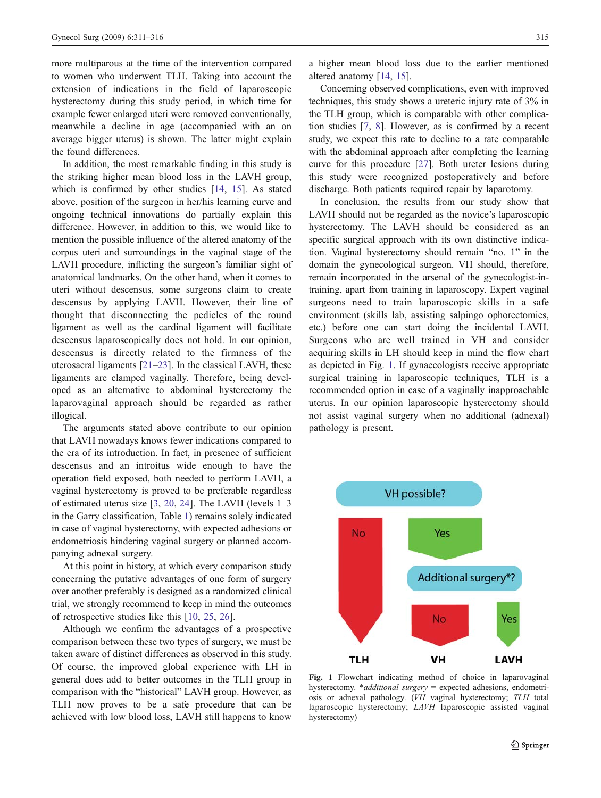more multiparous at the time of the intervention compared to women who underwent TLH. Taking into account the extension of indications in the field of laparoscopic hysterectomy during this study period, in which time for example fewer enlarged uteri were removed conventionally, meanwhile a decline in age (accompanied with an on average bigger uterus) is shown. The latter might explain the found differences.

In addition, the most remarkable finding in this study is the striking higher mean blood loss in the LAVH group, which is confirmed by other studies [\[14](#page-5-0), [15\]](#page-5-0). As stated above, position of the surgeon in her/his learning curve and ongoing technical innovations do partially explain this difference. However, in addition to this, we would like to mention the possible influence of the altered anatomy of the corpus uteri and surroundings in the vaginal stage of the LAVH procedure, inflicting the surgeon's familiar sight of anatomical landmarks. On the other hand, when it comes to uteri without descensus, some surgeons claim to create descensus by applying LAVH. However, their line of thought that disconnecting the pedicles of the round ligament as well as the cardinal ligament will facilitate descensus laparoscopically does not hold. In our opinion, descensus is directly related to the firmness of the uterosacral ligaments [[21](#page-5-0)–[23](#page-5-0)]. In the classical LAVH, these ligaments are clamped vaginally. Therefore, being developed as an alternative to abdominal hysterectomy the laparovaginal approach should be regarded as rather illogical.

The arguments stated above contribute to our opinion that LAVH nowadays knows fewer indications compared to the era of its introduction. In fact, in presence of sufficient descensus and an introitus wide enough to have the operation field exposed, both needed to perform LAVH, a vaginal hysterectomy is proved to be preferable regardless of estimated uterus size [[3,](#page-5-0) [20,](#page-5-0) [24](#page-5-0)]. The LAVH (levels 1–3 in the Garry classification, Table [1](#page-1-0)) remains solely indicated in case of vaginal hysterectomy, with expected adhesions or endometriosis hindering vaginal surgery or planned accompanying adnexal surgery.

At this point in history, at which every comparison study concerning the putative advantages of one form of surgery over another preferably is designed as a randomized clinical trial, we strongly recommend to keep in mind the outcomes of retrospective studies like this [\[10](#page-5-0), [25,](#page-5-0) [26\]](#page-5-0).

Although we confirm the advantages of a prospective comparison between these two types of surgery, we must be taken aware of distinct differences as observed in this study. Of course, the improved global experience with LH in general does add to better outcomes in the TLH group in comparison with the "historical" LAVH group. However, as TLH now proves to be a safe procedure that can be achieved with low blood loss, LAVH still happens to know a higher mean blood loss due to the earlier mentioned altered anatomy [[14,](#page-5-0) [15\]](#page-5-0).

Concerning observed complications, even with improved techniques, this study shows a ureteric injury rate of 3% in the TLH group, which is comparable with other complication studies [[7,](#page-5-0) [8](#page-5-0)]. However, as is confirmed by a recent study, we expect this rate to decline to a rate comparable with the abdominal approach after completing the learning curve for this procedure [[27\]](#page-5-0). Both ureter lesions during this study were recognized postoperatively and before discharge. Both patients required repair by laparotomy.

In conclusion, the results from our study show that LAVH should not be regarded as the novice's laparoscopic hysterectomy. The LAVH should be considered as an specific surgical approach with its own distinctive indication. Vaginal hysterectomy should remain "no. 1" in the domain the gynecological surgeon. VH should, therefore, remain incorporated in the arsenal of the gynecologist-intraining, apart from training in laparoscopy. Expert vaginal surgeons need to train laparoscopic skills in a safe environment (skills lab, assisting salpingo ophorectomies, etc.) before one can start doing the incidental LAVH. Surgeons who are well trained in VH and consider acquiring skills in LH should keep in mind the flow chart as depicted in Fig. 1. If gynaecologists receive appropriate surgical training in laparoscopic techniques, TLH is a recommended option in case of a vaginally inapproachable uterus. In our opinion laparoscopic hysterectomy should not assist vaginal surgery when no additional (adnexal) pathology is present.



Fig. 1 Flowchart indicating method of choice in laparovaginal hysterectomy. \*additional surgery = expected adhesions, endometriosis or adnexal pathology. (VH vaginal hysterectomy; TLH total laparoscopic hysterectomy; LAVH laparoscopic assisted vaginal hysterectomy)